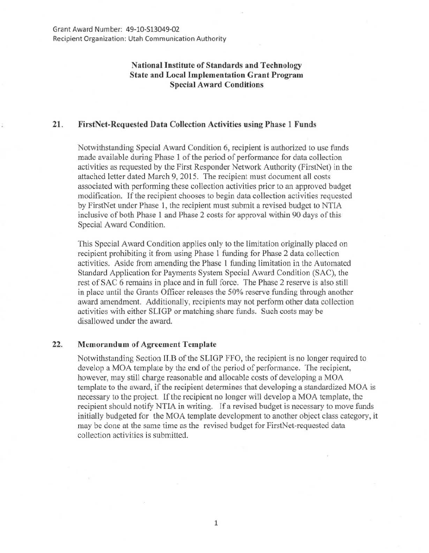## National Institute of Standards and Technology State and Local Implementation Grant Program Special Award Conditions

## 21. FirstNet-Requested Data Collection Activities using Phase 1 Funds

Notwithstanding Special Award Condition 6, recipient is authorized to use funds made available during Phase 1 of the period of performance for data collection activities as requested by the First Responder Network Authority (FirstNet) in the attached letter dated March 9, 2015. The recipient must document all costs associated with performing these collection activities prior to an approved budget modification. If the recipient chooses to begin data collection activities requested by FirstNet under Phase 1, the recipient must submit a revised budget to NTIA inclusive of both Phase 1 and Phase 2 costs for approval within 90 days of this Special Award Condition.

This Special Award Condition applies only to the limitation originally placed on recipient prohibiting it from using Phase I funding for Phase 2 data collection activities. Aside from amending the Phase 1 funding limitation in the Automated Standard Application for Payments System Special Award Condition (SAC), the rest of SAC 6 remains in place and in full force. The Phase 2 reserve is also still in place until the Grants Officer releases the 50% reserve funding through another award amendment. Additionally, recipients may not perform other data collection activities with either SLIGP or matching share funds. Such costs may be disallowed under the award.

## 22. Memorandum of Agreement Template

Notwithstanding Section II.B of the SLIGP FFO, the recipient is no longer required to develop a MOA template by the end of the period of performance. The recipient, however, may still charge reasonable and allocable costs of developing a MOA template to the award, if the recipient determines that developing a standardized MOA is necessary to the project. If the recipient no longer will develop a MOA template, the recipient should notify NTIA in writing. Tf a revised budget is necessary to move funds initially budgeted for the MOA template development to another object class category, it may be done at the same time as the revised budget for FirstNet-requested data collection activities is submitted.

1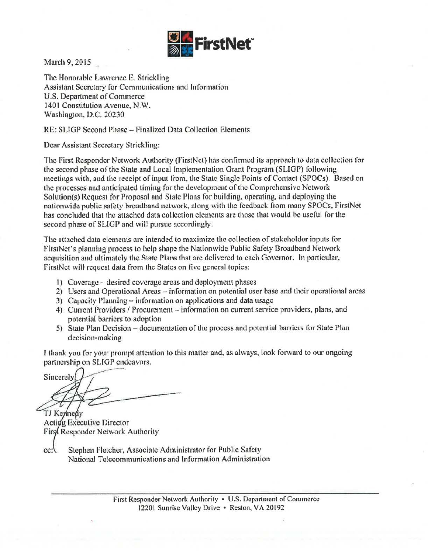

March 9, 2015

The Honorable Lawrence E. Strickling Assistant Secretary for Communications and Information U.S. Department of Commerce 1401 Constitution Avenue, N.W. Washington, D.C. 20230

RE: SLIGP Second Phase- Finalized Data Collection Elements

Dear Assistant Secretary Strickling:

The First Responder Network Authority (FirstNet) has confirmed its approach to data collection for the second phase of the State and Local [mplementation Grant Program (SLIGP) following meetings with, and the receipt of input from, the Siatc Single Points of Contact {SPOCs). Based on the processes and anticipated timing for the development of the Comprehensive Network Solution(s) Request for Proposal and State Plans for building, operating, and deploying the nationwide public safety broadband network, along wilh the feedback from many SPOCs, FirstNet has concluded that the attached data collection elements are those that would be useful for the second phase of SLIGP and will pursue accordingly.

The attached data elements are intended to maximize the collection of stakeholder inputs for FirstNet's planning process to help shape the Nationwide Public Safety Broadband Network acquisition and ultimately the State Plans that arc delivered to each Governor. In particular, FirstNct will request data from the States on five general topics:

- 1 ) Coverage -desired coverage areas and deployment phases
- 2) Users and Operational Areas information on potential user base and their operational areas
- 3) Capacity Planning- information on applications and data usage
- 4) Current Providers / Procurement information on current service providers, plans, and potential barriers to adoption
- 5) State Plan Decision- documentation of the process and potential barriers for State Plan decision-making

I thank you for your prompt attention to this matter and, as always, look forward to our ongoing partnership on SUGP endeavors.

Sincerely

TJ Kennedy Acting Executive Director First Responder Network Authority

Stephen fletcher, Associate Administrator for Public Safety  $cc:$ National Telecommunications and Information Administration